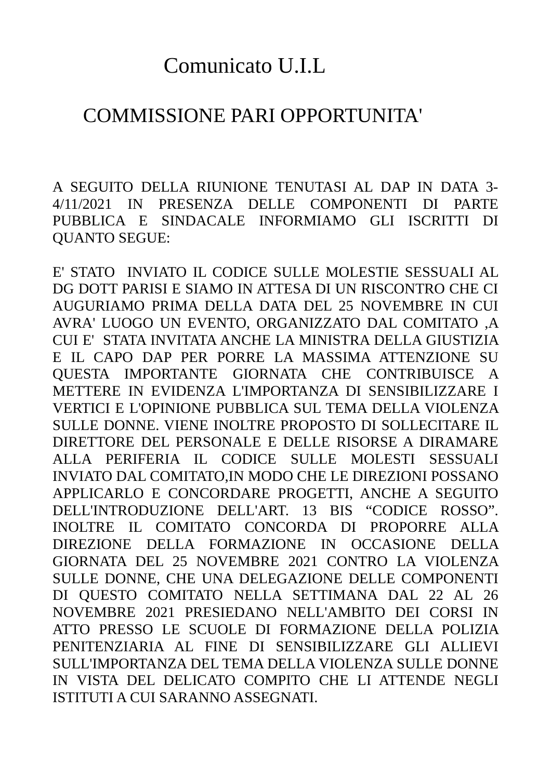## Comunicato U.I.L

## COMMISSIONE PARI OPPORTUNITA'

A SEGUITO DELLA RIUNIONE TENUTASI AL DAP IN DATA 3- 4/11/2021 IN PRESENZA DELLE COMPONENTI DI PARTE PUBBLICA E SINDACALE INFORMIAMO GLI ISCRITTI DI QUANTO SEGUE:

E' STATO INVIATO IL CODICE SULLE MOLESTIE SESSUALI AL DG DOTT PARISI E SIAMO IN ATTESA DI UN RISCONTRO CHE CI AUGURIAMO PRIMA DELLA DATA DEL 25 NOVEMBRE IN CUI AVRA' LUOGO UN EVENTO, ORGANIZZATO DAL COMITATO ,A CUI E' STATA INVITATA ANCHE LA MINISTRA DELLA GIUSTIZIA E IL CAPO DAP PER PORRE LA MASSIMA ATTENZIONE SU QUESTA IMPORTANTE GIORNATA CHE CONTRIBUISCE A METTERE IN EVIDENZA L'IMPORTANZA DI SENSIBILIZZARE I VERTICI E L'OPINIONE PUBBLICA SUL TEMA DELLA VIOLENZA SULLE DONNE. VIENE INOLTRE PROPOSTO DI SOLLECITARE IL DIRETTORE DEL PERSONALE E DELLE RISORSE A DIRAMARE ALLA PERIFERIA IL CODICE SULLE MOLESTI SESSUALI INVIATO DAL COMITATO,IN MODO CHE LE DIREZIONI POSSANO APPLICARLO E CONCORDARE PROGETTI, ANCHE A SEGUITO DELL'INTRODUZIONE DELL'ART. 13 BIS "CODICE ROSSO". INOLTRE IL COMITATO CONCORDA DI PROPORRE ALLA DIREZIONE DELLA FORMAZIONE IN OCCASIONE DELLA GIORNATA DEL 25 NOVEMBRE 2021 CONTRO LA VIOLENZA SULLE DONNE, CHE UNA DELEGAZIONE DELLE COMPONENTI DI QUESTO COMITATO NELLA SETTIMANA DAL 22 AL 26 NOVEMBRE 2021 PRESIEDANO NELL'AMBITO DEI CORSI IN ATTO PRESSO LE SCUOLE DI FORMAZIONE DELLA POLIZIA PENITENZIARIA AL FINE DI SENSIBILIZZARE GLI ALLIEVI SULL'IMPORTANZA DEL TEMA DELLA VIOLENZA SULLE DONNE IN VISTA DEL DELICATO COMPITO CHE LI ATTENDE NEGLI ISTITUTI A CUI SARANNO ASSEGNATI.